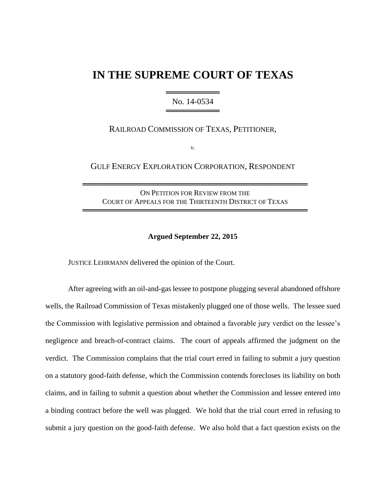# **IN THE SUPREME COURT OF TEXAS**

# ═══════════════════ No. 14-0534 ═══════════════════

# RAILROAD COMMISSION OF TEXAS, PETITIONER,

v.

# GULF ENERGY EXPLORATION CORPORATION, RESPONDENT

ON PETITION FOR REVIEW FROM THE COURT OF APPEALS FOR THE THIRTEENTH DISTRICT OF TEXAS

══════════════════════════════════════════

══════════════════════════════════════════

#### **Argued September 22, 2015**

JUSTICE LEHRMANN delivered the opinion of the Court.

After agreeing with an oil-and-gas lessee to postpone plugging several abandoned offshore wells, the Railroad Commission of Texas mistakenly plugged one of those wells. The lessee sued the Commission with legislative permission and obtained a favorable jury verdict on the lessee's negligence and breach-of-contract claims. The court of appeals affirmed the judgment on the verdict. The Commission complains that the trial court erred in failing to submit a jury question on a statutory good-faith defense, which the Commission contends forecloses its liability on both claims, and in failing to submit a question about whether the Commission and lessee entered into a binding contract before the well was plugged. We hold that the trial court erred in refusing to submit a jury question on the good-faith defense. We also hold that a fact question exists on the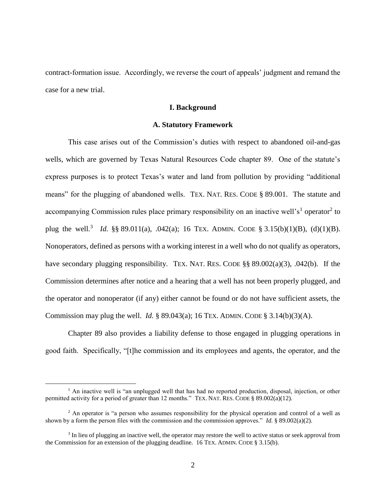contract-formation issue. Accordingly, we reverse the court of appeals' judgment and remand the case for a new trial.

#### **I. Background**

#### **A. Statutory Framework**

This case arises out of the Commission's duties with respect to abandoned oil-and-gas wells, which are governed by Texas Natural Resources Code chapter 89. One of the statute's express purposes is to protect Texas's water and land from pollution by providing "additional means" for the plugging of abandoned wells. TEX. NAT. RES. CODE § 89.001. The statute and accompanying Commission rules place primary responsibility on an inactive well's<sup>1</sup> operator<sup>2</sup> to plug the well.<sup>3</sup> *Id.* §§ 89.011(a), .042(a); 16 TEX. ADMIN. CODE § 3.15(b)(1)(B), (d)(1)(B). Nonoperators, defined as persons with a working interest in a well who do not qualify as operators, have secondary plugging responsibility. TEX. NAT. RES. CODE §§ 89.002(a)(3), .042(b). If the Commission determines after notice and a hearing that a well has not been properly plugged, and the operator and nonoperator (if any) either cannot be found or do not have sufficient assets, the Commission may plug the well. *Id.* § 89.043(a); 16 TEX. ADMIN. CODE § 3.14(b)(3)(A).

Chapter 89 also provides a liability defense to those engaged in plugging operations in good faith. Specifically, "[t]he commission and its employees and agents, the operator, and the

<sup>&</sup>lt;sup>1</sup> An inactive well is "an unplugged well that has had no reported production, disposal, injection, or other permitted activity for a period of greater than 12 months." TEX. NAT. RES. CODE § 89.002(a)(12).

<sup>&</sup>lt;sup>2</sup> An operator is "a person who assumes responsibility for the physical operation and control of a well as shown by a form the person files with the commission and the commission approves." *Id.* § 89.002(a)(2).

<sup>&</sup>lt;sup>3</sup> In lieu of plugging an inactive well, the operator may restore the well to active status or seek approval from the Commission for an extension of the plugging deadline. 16 TEX. ADMIN. CODE § 3.15(b).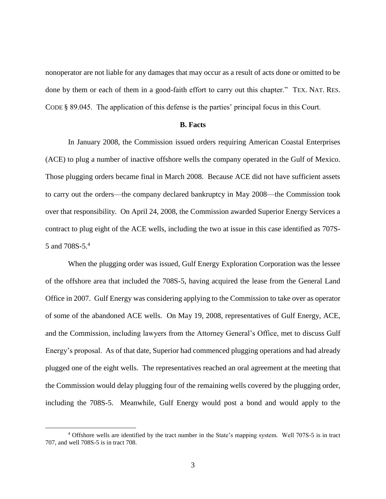nonoperator are not liable for any damages that may occur as a result of acts done or omitted to be done by them or each of them in a good-faith effort to carry out this chapter." TEX. NAT. RES. CODE § 89.045. The application of this defense is the parties' principal focus in this Court.

#### **B. Facts**

In January 2008, the Commission issued orders requiring American Coastal Enterprises (ACE) to plug a number of inactive offshore wells the company operated in the Gulf of Mexico. Those plugging orders became final in March 2008. Because ACE did not have sufficient assets to carry out the orders—the company declared bankruptcy in May 2008—the Commission took over that responsibility. On April 24, 2008, the Commission awarded Superior Energy Services a contract to plug eight of the ACE wells, including the two at issue in this case identified as 707S-5 and 708S-5. 4

When the plugging order was issued, Gulf Energy Exploration Corporation was the lessee of the offshore area that included the 708S-5, having acquired the lease from the General Land Office in 2007. Gulf Energy was considering applying to the Commission to take over as operator of some of the abandoned ACE wells. On May 19, 2008, representatives of Gulf Energy, ACE, and the Commission, including lawyers from the Attorney General's Office, met to discuss Gulf Energy's proposal. As of that date, Superior had commenced plugging operations and had already plugged one of the eight wells. The representatives reached an oral agreement at the meeting that the Commission would delay plugging four of the remaining wells covered by the plugging order, including the 708S-5. Meanwhile, Gulf Energy would post a bond and would apply to the

<sup>4</sup> Offshore wells are identified by the tract number in the State's mapping system. Well 707S-5 is in tract 707, and well 708S-5 is in tract 708.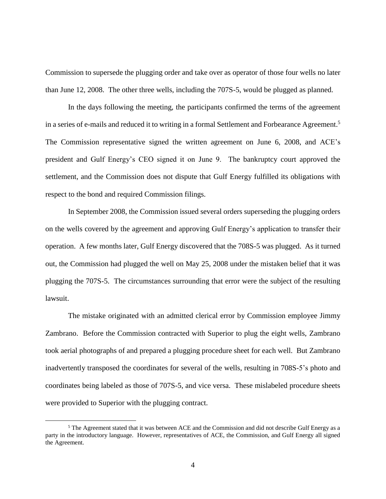Commission to supersede the plugging order and take over as operator of those four wells no later than June 12, 2008. The other three wells, including the 707S-5, would be plugged as planned.

In the days following the meeting, the participants confirmed the terms of the agreement in a series of e-mails and reduced it to writing in a formal Settlement and Forbearance Agreement.<sup>5</sup> The Commission representative signed the written agreement on June 6, 2008, and ACE's president and Gulf Energy's CEO signed it on June 9. The bankruptcy court approved the settlement, and the Commission does not dispute that Gulf Energy fulfilled its obligations with respect to the bond and required Commission filings.

In September 2008, the Commission issued several orders superseding the plugging orders on the wells covered by the agreement and approving Gulf Energy's application to transfer their operation. A few months later, Gulf Energy discovered that the 708S-5 was plugged. As it turned out, the Commission had plugged the well on May 25, 2008 under the mistaken belief that it was plugging the 707S-5. The circumstances surrounding that error were the subject of the resulting lawsuit.

The mistake originated with an admitted clerical error by Commission employee Jimmy Zambrano. Before the Commission contracted with Superior to plug the eight wells, Zambrano took aerial photographs of and prepared a plugging procedure sheet for each well. But Zambrano inadvertently transposed the coordinates for several of the wells, resulting in 708S-5's photo and coordinates being labeled as those of 707S-5, and vice versa. These mislabeled procedure sheets were provided to Superior with the plugging contract.

<sup>5</sup> The Agreement stated that it was between ACE and the Commission and did not describe Gulf Energy as a party in the introductory language. However, representatives of ACE, the Commission, and Gulf Energy all signed the Agreement.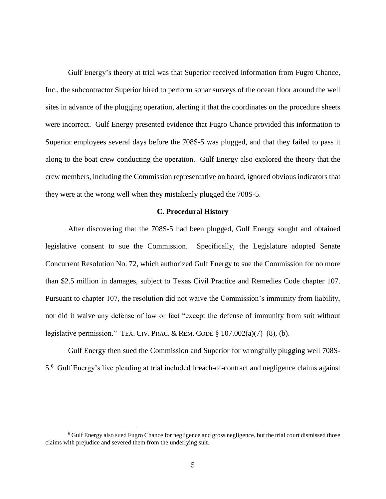Gulf Energy's theory at trial was that Superior received information from Fugro Chance, Inc., the subcontractor Superior hired to perform sonar surveys of the ocean floor around the well sites in advance of the plugging operation, alerting it that the coordinates on the procedure sheets were incorrect. Gulf Energy presented evidence that Fugro Chance provided this information to Superior employees several days before the 708S-5 was plugged, and that they failed to pass it along to the boat crew conducting the operation. Gulf Energy also explored the theory that the crew members, including the Commission representative on board, ignored obvious indicators that they were at the wrong well when they mistakenly plugged the 708S-5.

#### **C. Procedural History**

After discovering that the 708S-5 had been plugged, Gulf Energy sought and obtained legislative consent to sue the Commission. Specifically, the Legislature adopted Senate Concurrent Resolution No. 72, which authorized Gulf Energy to sue the Commission for no more than \$2.5 million in damages, subject to Texas Civil Practice and Remedies Code chapter 107. Pursuant to chapter 107, the resolution did not waive the Commission's immunity from liability, nor did it waive any defense of law or fact "except the defense of immunity from suit without legislative permission." TEX. CIV. PRAC. & REM. CODE  $\S 107.002(a)(7)–(8)$ , (b).

Gulf Energy then sued the Commission and Superior for wrongfully plugging well 708S-5.6 Gulf Energy's live pleading at trial included breach-of-contract and negligence claims against

<sup>6</sup> Gulf Energy also sued Fugro Chance for negligence and gross negligence, but the trial court dismissed those claims with prejudice and severed them from the underlying suit.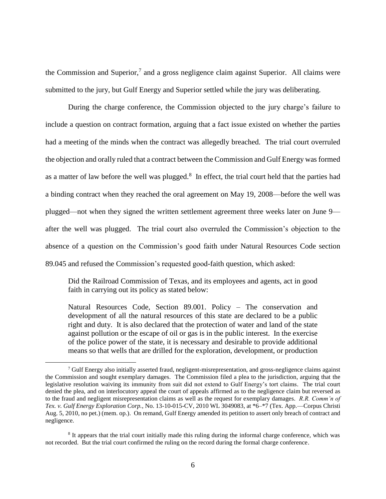the Commission and Superior,<sup>7</sup> and a gross negligence claim against Superior. All claims were submitted to the jury, but Gulf Energy and Superior settled while the jury was deliberating.

During the charge conference, the Commission objected to the jury charge's failure to include a question on contract formation, arguing that a fact issue existed on whether the parties had a meeting of the minds when the contract was allegedly breached. The trial court overruled the objection and orally ruled that a contract between the Commission and Gulf Energy was formed as a matter of law before the well was plugged. $8\,$  In effect, the trial court held that the parties had a binding contract when they reached the oral agreement on May 19, 2008—before the well was plugged—not when they signed the written settlement agreement three weeks later on June 9 after the well was plugged. The trial court also overruled the Commission's objection to the absence of a question on the Commission's good faith under Natural Resources Code section 89.045 and refused the Commission's requested good-faith question, which asked:

Did the Railroad Commission of Texas, and its employees and agents, act in good faith in carrying out its policy as stated below:

Natural Resources Code, Section 89.001. Policy – The conservation and development of all the natural resources of this state are declared to be a public right and duty. It is also declared that the protection of water and land of the state against pollution or the escape of oil or gas is in the public interest. In the exercise of the police power of the state, it is necessary and desirable to provide additional means so that wells that are drilled for the exploration, development, or production

<sup>7</sup> Gulf Energy also initially asserted fraud, negligent-misrepresentation, and gross-negligence claims against the Commission and sought exemplary damages. The Commission filed a plea to the jurisdiction, arguing that the legislative resolution waiving its immunity from suit did not extend to Gulf Energy's tort claims. The trial court denied the plea, and on interlocutory appeal the court of appeals affirmed as to the negligence claim but reversed as to the fraud and negligent misrepresentation claims as well as the request for exemplary damages. *R.R. Comm'n of Tex. v. Gulf Energy Exploration Corp.*, No. 13-10-015-CV, 2010 WL 3049083, at \*6–\*7 (Tex. App.—Corpus Christi Aug. 5, 2010, no pet.) (mem. op.). On remand, Gulf Energy amended its petition to assert only breach of contract and negligence.

<sup>&</sup>lt;sup>8</sup> It appears that the trial court initially made this ruling during the informal charge conference, which was not recorded. But the trial court confirmed the ruling on the record during the formal charge conference.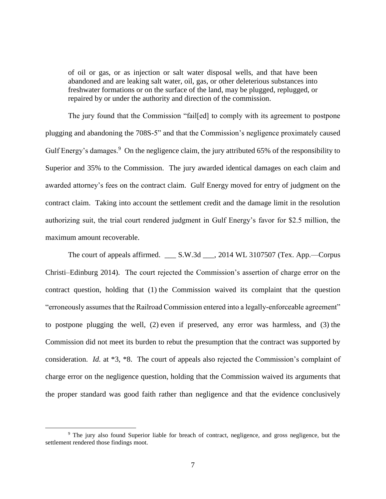of oil or gas, or as injection or salt water disposal wells, and that have been abandoned and are leaking salt water, oil, gas, or other deleterious substances into freshwater formations or on the surface of the land, may be plugged, replugged, or repaired by or under the authority and direction of the commission.

The jury found that the Commission "fail[ed] to comply with its agreement to postpone plugging and abandoning the 708S-5" and that the Commission's negligence proximately caused Gulf Energy's damages.<sup>9</sup> On the negligence claim, the jury attributed 65% of the responsibility to Superior and 35% to the Commission. The jury awarded identical damages on each claim and awarded attorney's fees on the contract claim. Gulf Energy moved for entry of judgment on the contract claim. Taking into account the settlement credit and the damage limit in the resolution authorizing suit, the trial court rendered judgment in Gulf Energy's favor for \$2.5 million, the maximum amount recoverable.

The court of appeals affirmed. \_\_\_ S.W.3d \_\_\_, 2014 WL 3107507 (Tex. App.—Corpus Christi–Edinburg 2014). The court rejected the Commission's assertion of charge error on the contract question, holding that (1) the Commission waived its complaint that the question "erroneously assumes that the Railroad Commission entered into a legally-enforceable agreement" to postpone plugging the well, (2) even if preserved, any error was harmless, and (3) the Commission did not meet its burden to rebut the presumption that the contract was supported by consideration. *Id.* at \*3, \*8. The court of appeals also rejected the Commission's complaint of charge error on the negligence question, holding that the Commission waived its arguments that the proper standard was good faith rather than negligence and that the evidence conclusively

<sup>9</sup> The jury also found Superior liable for breach of contract, negligence, and gross negligence, but the settlement rendered those findings moot.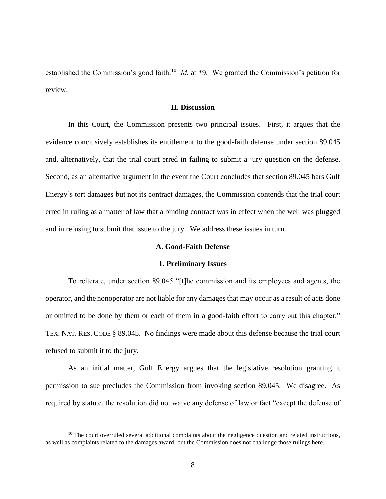established the Commission's good faith.<sup>10</sup> *Id.* at \*9. We granted the Commission's petition for review.

#### **II. Discussion**

In this Court, the Commission presents two principal issues. First, it argues that the evidence conclusively establishes its entitlement to the good-faith defense under section 89.045 and, alternatively, that the trial court erred in failing to submit a jury question on the defense. Second, as an alternative argument in the event the Court concludes that section 89.045 bars Gulf Energy's tort damages but not its contract damages, the Commission contends that the trial court erred in ruling as a matter of law that a binding contract was in effect when the well was plugged and in refusing to submit that issue to the jury. We address these issues in turn.

#### **A. Good-Faith Defense**

#### **1. Preliminary Issues**

To reiterate, under section 89.045 "[t]he commission and its employees and agents, the operator, and the nonoperator are not liable for any damages that may occur as a result of acts done or omitted to be done by them or each of them in a good-faith effort to carry out this chapter." TEX. NAT. RES. CODE § 89.045. No findings were made about this defense because the trial court refused to submit it to the jury.

As an initial matter, Gulf Energy argues that the legislative resolution granting it permission to sue precludes the Commission from invoking section 89.045. We disagree. As required by statute, the resolution did not waive any defense of law or fact "except the defense of

 $10$  The court overruled several additional complaints about the negligence question and related instructions, as well as complaints related to the damages award, but the Commission does not challenge those rulings here.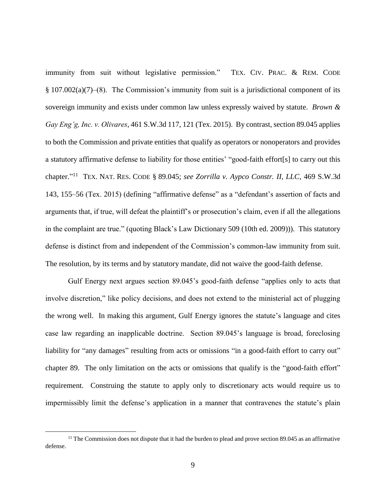immunity from suit without legislative permission." TEX. CIV. PRAC. & REM. CODE § 107.002(a)(7)–(8). The Commission's immunity from suit is a jurisdictional component of its sovereign immunity and exists under common law unless expressly waived by statute. *Brown & Gay Eng'g, Inc. v. Olivares*, 461 S.W.3d 117, 121 (Tex. 2015). By contrast, section 89.045 applies to both the Commission and private entities that qualify as operators or nonoperators and provides a statutory affirmative defense to liability for those entities' "good-faith effort[s] to carry out this chapter." 11 TEX. NAT. RES. CODE § 89.045; *see Zorrilla v. Aypco Constr. II, LLC*, 469 S.W.3d 143, 155–56 (Tex. 2015) (defining "affirmative defense" as a "defendant's assertion of facts and arguments that, if true, will defeat the plaintiff's or prosecution's claim, even if all the allegations in the complaint are true." (quoting Black's Law Dictionary 509 (10th ed. 2009))). This statutory defense is distinct from and independent of the Commission's common-law immunity from suit. The resolution, by its terms and by statutory mandate, did not waive the good-faith defense.

Gulf Energy next argues section 89.045's good-faith defense "applies only to acts that involve discretion," like policy decisions, and does not extend to the ministerial act of plugging the wrong well. In making this argument, Gulf Energy ignores the statute's language and cites case law regarding an inapplicable doctrine. Section 89.045's language is broad, foreclosing liability for "any damages" resulting from acts or omissions "in a good-faith effort to carry out" chapter 89. The only limitation on the acts or omissions that qualify is the "good-faith effort" requirement. Construing the statute to apply only to discretionary acts would require us to impermissibly limit the defense's application in a manner that contravenes the statute's plain

 $11$  The Commission does not dispute that it had the burden to plead and prove section 89.045 as an affirmative defense.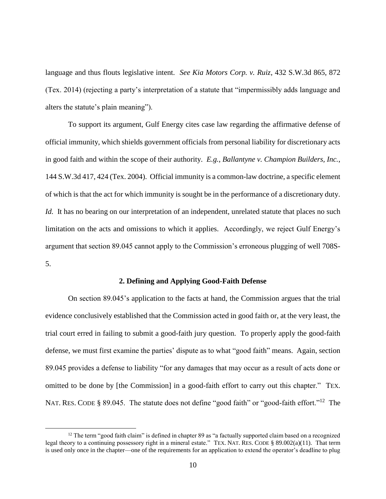language and thus flouts legislative intent. *See Kia Motors Corp. v. Ruiz*, 432 S.W.3d 865, 872 (Tex. 2014) (rejecting a party's interpretation of a statute that "impermissibly adds language and alters the statute's plain meaning").

To support its argument, Gulf Energy cites case law regarding the affirmative defense of official immunity, which shields government officials from personal liability for discretionary acts in good faith and within the scope of their authority. *E.g.*, *Ballantyne v. Champion Builders, Inc.*, 144 S.W.3d 417, 424 (Tex. 2004). Official immunity is a common-law doctrine, a specific element of which is that the act for which immunity is sought be in the performance of a discretionary duty. *Id.* It has no bearing on our interpretation of an independent, unrelated statute that places no such limitation on the acts and omissions to which it applies. Accordingly, we reject Gulf Energy's argument that section 89.045 cannot apply to the Commission's erroneous plugging of well 708S-5.

#### **2. Defining and Applying Good-Faith Defense**

On section 89.045's application to the facts at hand, the Commission argues that the trial evidence conclusively established that the Commission acted in good faith or, at the very least, the trial court erred in failing to submit a good-faith jury question. To properly apply the good-faith defense, we must first examine the parties' dispute as to what "good faith" means. Again, section 89.045 provides a defense to liability "for any damages that may occur as a result of acts done or omitted to be done by [the Commission] in a good-faith effort to carry out this chapter." TEX. NAT. RES. CODE § 89.045. The statute does not define "good faith" or "good-faith effort."<sup>12</sup> The

 $12$  The term "good faith claim" is defined in chapter 89 as "a factually supported claim based on a recognized legal theory to a continuing possessory right in a mineral estate." TEX. NAT. RES. CODE § 89.002(a)(11). That term is used only once in the chapter—one of the requirements for an application to extend the operator's deadline to plug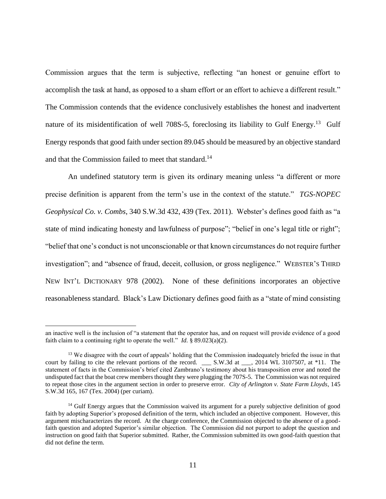Commission argues that the term is subjective, reflecting "an honest or genuine effort to accomplish the task at hand, as opposed to a sham effort or an effort to achieve a different result." The Commission contends that the evidence conclusively establishes the honest and inadvertent nature of its misidentification of well 708S-5, foreclosing its liability to Gulf Energy.<sup>13</sup> Gulf Energy responds that good faith under section 89.045 should be measured by an objective standard and that the Commission failed to meet that standard.<sup>14</sup>

An undefined statutory term is given its ordinary meaning unless "a different or more precise definition is apparent from the term's use in the context of the statute." *TGS-NOPEC Geophysical Co. v. Combs*, 340 S.W.3d 432, 439 (Tex. 2011). Webster's defines good faith as "a state of mind indicating honesty and lawfulness of purpose"; "belief in one's legal title or right"; "belief that one's conduct is not unconscionable or that known circumstances do not require further investigation"; and "absence of fraud, deceit, collusion, or gross negligence." WEBSTER'S THIRD NEW INT'L DICTIONARY 978 (2002). None of these definitions incorporates an objective reasonableness standard. Black's Law Dictionary defines good faith as a "state of mind consisting

an inactive well is the inclusion of "a statement that the operator has, and on request will provide evidence of a good faith claim to a continuing right to operate the well." *Id.*  $\frac{8}{3}$  89.023(a)(2).

<sup>&</sup>lt;sup>13</sup> We disagree with the court of appeals' holding that the Commission inadequately briefed the issue in that court by failing to cite the relevant portions of the record. \_\_\_ S.W.3d at \_\_\_, 2014 WL 3107507, at \*11. The statement of facts in the Commission's brief cited Zambrano's testimony about his transposition error and noted the undisputed fact that the boat crew membersthought they were plugging the 707S-5. The Commission was not required to repeat those cites in the argument section in order to preserve error. *City of Arlington v. State Farm Lloyds*, 145 S.W.3d 165, 167 (Tex. 2004) (per curiam).

<sup>&</sup>lt;sup>14</sup> Gulf Energy argues that the Commission waived its argument for a purely subjective definition of good faith by adopting Superior's proposed definition of the term, which included an objective component. However, this argument mischaracterizes the record. At the charge conference, the Commission objected to the absence of a goodfaith question and adopted Superior's similar objection. The Commission did not purport to adopt the question and instruction on good faith that Superior submitted. Rather, the Commission submitted its own good-faith question that did not define the term.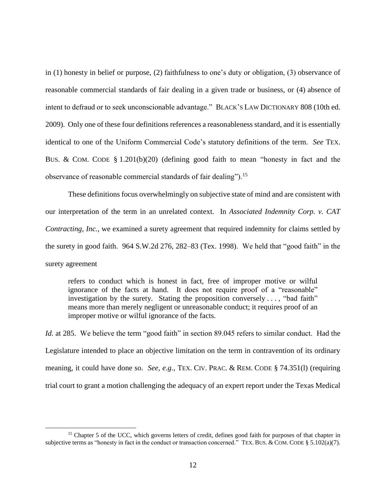in (1) honesty in belief or purpose, (2) faithfulness to one's duty or obligation, (3) observance of reasonable commercial standards of fair dealing in a given trade or business, or (4) absence of intent to defraud or to seek unconscionable advantage." BLACK'S LAW DICTIONARY 808 (10th ed. 2009). Only one of these four definitions references a reasonableness standard, and it is essentially identical to one of the Uniform Commercial Code's statutory definitions of the term. *See* TEX. BUS. & COM. CODE § 1.201(b)(20) (defining good faith to mean "honesty in fact and the observance of reasonable commercial standards of fair dealing").<sup>15</sup>

These definitions focus overwhelmingly on subjective state of mind and are consistent with our interpretation of the term in an unrelated context. In *Associated Indemnity Corp. v. CAT Contracting, Inc.*, we examined a surety agreement that required indemnity for claims settled by the surety in good faith. 964 S.W.2d 276, 282–83 (Tex. 1998). We held that "good faith" in the surety agreement

refers to conduct which is honest in fact, free of improper motive or wilful ignorance of the facts at hand. It does not require proof of a "reasonable" investigation by the surety. Stating the proposition conversely . . . , "bad faith" means more than merely negligent or unreasonable conduct; it requires proof of an improper motive or wilful ignorance of the facts.

*Id.* at 285. We believe the term "good faith" in section 89.045 refers to similar conduct. Had the Legislature intended to place an objective limitation on the term in contravention of its ordinary meaning, it could have done so. *See, e.g.*, TEX. CIV. PRAC. & REM. CODE § 74.351(l) (requiring trial court to grant a motion challenging the adequacy of an expert report under the Texas Medical

<sup>&</sup>lt;sup>15</sup> Chapter 5 of the UCC, which governs letters of credit, defines good faith for purposes of that chapter in subjective terms as "honesty in fact in the conduct or transaction concerned." TEX. BUS. & COM. CODE § 5.102(a)(7).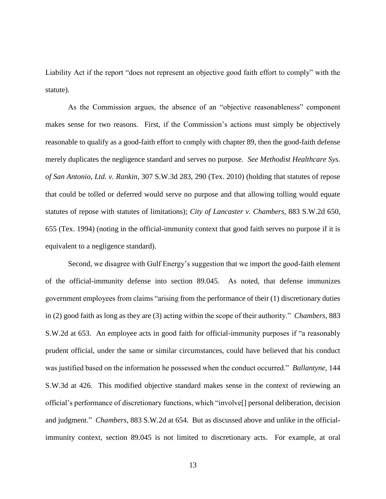Liability Act if the report "does not represent an objective good faith effort to comply" with the statute).

As the Commission argues, the absence of an "objective reasonableness" component makes sense for two reasons. First, if the Commission's actions must simply be objectively reasonable to qualify as a good-faith effort to comply with chapter 89, then the good-faith defense merely duplicates the negligence standard and serves no purpose. *See Methodist Healthcare Sys. of San Antonio, Ltd. v. Rankin*, 307 S.W.3d 283, 290 (Tex. 2010) (holding that statutes of repose that could be tolled or deferred would serve no purpose and that allowing tolling would equate statutes of repose with statutes of limitations); *City of Lancaster v. Chambers*, 883 S.W.2d 650, 655 (Tex. 1994) (noting in the official-immunity context that good faith serves no purpose if it is equivalent to a negligence standard).

Second, we disagree with Gulf Energy's suggestion that we import the good-faith element of the official-immunity defense into section 89.045. As noted, that defense immunizes government employees from claims "arising from the performance of their (1) discretionary duties in (2) good faith as long as they are (3) acting within the scope of their authority." *Chambers*, 883 S.W.2d at 653. An employee acts in good faith for official-immunity purposes if "a reasonably prudent official, under the same or similar circumstances, could have believed that his conduct was justified based on the information he possessed when the conduct occurred." *Ballantyne*, 144 S.W.3d at 426. This modified objective standard makes sense in the context of reviewing an official's performance of discretionary functions, which "involve[] personal deliberation, decision and judgment." *Chambers*, 883 S.W.2d at 654. But as discussed above and unlike in the officialimmunity context, section 89.045 is not limited to discretionary acts. For example, at oral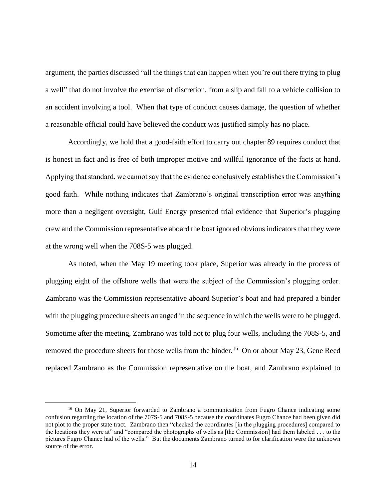argument, the parties discussed "all the things that can happen when you're out there trying to plug a well" that do not involve the exercise of discretion, from a slip and fall to a vehicle collision to an accident involving a tool. When that type of conduct causes damage, the question of whether a reasonable official could have believed the conduct was justified simply has no place.

Accordingly, we hold that a good-faith effort to carry out chapter 89 requires conduct that is honest in fact and is free of both improper motive and willful ignorance of the facts at hand. Applying that standard, we cannot say that the evidence conclusively establishes the Commission's good faith. While nothing indicates that Zambrano's original transcription error was anything more than a negligent oversight, Gulf Energy presented trial evidence that Superior's plugging crew and the Commission representative aboard the boat ignored obvious indicators that they were at the wrong well when the 708S-5 was plugged.

As noted, when the May 19 meeting took place, Superior was already in the process of plugging eight of the offshore wells that were the subject of the Commission's plugging order. Zambrano was the Commission representative aboard Superior's boat and had prepared a binder with the plugging procedure sheets arranged in the sequence in which the wells were to be plugged. Sometime after the meeting, Zambrano was told not to plug four wells, including the 708S-5, and removed the procedure sheets for those wells from the binder.<sup>16</sup> On or about May 23, Gene Reed replaced Zambrano as the Commission representative on the boat, and Zambrano explained to

<sup>&</sup>lt;sup>16</sup> On May 21, Superior forwarded to Zambrano a communication from Fugro Chance indicating some confusion regarding the location of the 707S-5 and 708S-5 because the coordinates Fugro Chance had been given did not plot to the proper state tract. Zambrano then "checked the coordinates [in the plugging procedures] compared to the locations they were at" and "compared the photographs of wells as [the Commission] had them labeled . . . to the pictures Fugro Chance had of the wells." But the documents Zambrano turned to for clarification were the unknown source of the error.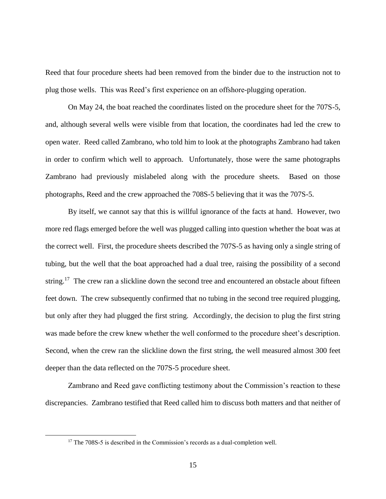Reed that four procedure sheets had been removed from the binder due to the instruction not to plug those wells. This was Reed's first experience on an offshore-plugging operation.

On May 24, the boat reached the coordinates listed on the procedure sheet for the 707S-5, and, although several wells were visible from that location, the coordinates had led the crew to open water. Reed called Zambrano, who told him to look at the photographs Zambrano had taken in order to confirm which well to approach. Unfortunately, those were the same photographs Zambrano had previously mislabeled along with the procedure sheets. Based on those photographs, Reed and the crew approached the 708S-5 believing that it was the 707S-5.

By itself, we cannot say that this is willful ignorance of the facts at hand. However, two more red flags emerged before the well was plugged calling into question whether the boat was at the correct well. First, the procedure sheets described the 707S-5 as having only a single string of tubing, but the well that the boat approached had a dual tree, raising the possibility of a second string.<sup>17</sup> The crew ran a slickline down the second tree and encountered an obstacle about fifteen feet down. The crew subsequently confirmed that no tubing in the second tree required plugging, but only after they had plugged the first string. Accordingly, the decision to plug the first string was made before the crew knew whether the well conformed to the procedure sheet's description. Second, when the crew ran the slickline down the first string, the well measured almost 300 feet deeper than the data reflected on the 707S-5 procedure sheet.

Zambrano and Reed gave conflicting testimony about the Commission's reaction to these discrepancies. Zambrano testified that Reed called him to discuss both matters and that neither of

 $17$  The 708S-5 is described in the Commission's records as a dual-completion well.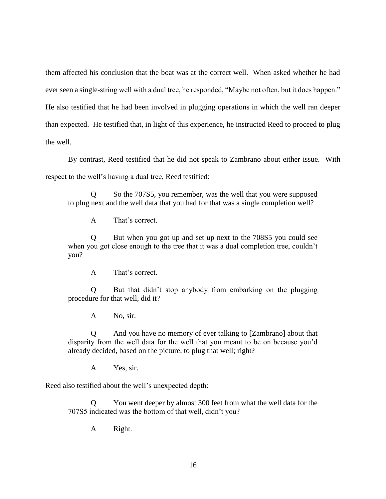them affected his conclusion that the boat was at the correct well. When asked whether he had ever seen a single-string well with a dual tree, he responded, "Maybe not often, but it does happen." He also testified that he had been involved in plugging operations in which the well ran deeper than expected. He testified that, in light of this experience, he instructed Reed to proceed to plug the well.

By contrast, Reed testified that he did not speak to Zambrano about either issue. With respect to the well's having a dual tree, Reed testified:

Q So the 707S5, you remember, was the well that you were supposed to plug next and the well data that you had for that was a single completion well?

A That's correct.

Q But when you got up and set up next to the 708S5 you could see when you got close enough to the tree that it was a dual completion tree, couldn't you?

A That's correct.

Q But that didn't stop anybody from embarking on the plugging procedure for that well, did it?

A No, sir.

Q And you have no memory of ever talking to [Zambrano] about that disparity from the well data for the well that you meant to be on because you'd already decided, based on the picture, to plug that well; right?

A Yes, sir.

Reed also testified about the well's unexpected depth:

You went deeper by almost 300 feet from what the well data for the 707S5 indicated was the bottom of that well, didn't you?

A Right.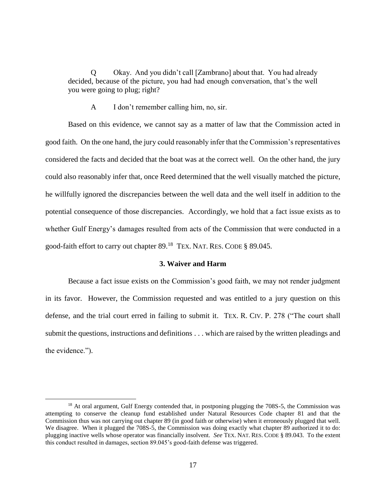Q Okay. And you didn't call [Zambrano] about that. You had already decided, because of the picture, you had had enough conversation, that's the well you were going to plug; right?

A I don't remember calling him, no, sir.

Based on this evidence, we cannot say as a matter of law that the Commission acted in good faith. On the one hand, the jury could reasonably infer that the Commission's representatives considered the facts and decided that the boat was at the correct well. On the other hand, the jury could also reasonably infer that, once Reed determined that the well visually matched the picture, he willfully ignored the discrepancies between the well data and the well itself in addition to the potential consequence of those discrepancies. Accordingly, we hold that a fact issue exists as to whether Gulf Energy's damages resulted from acts of the Commission that were conducted in a good-faith effort to carry out chapter 89.<sup>18</sup> TEX. NAT. RES. CODE § 89.045.

## **3. Waiver and Harm**

Because a fact issue exists on the Commission's good faith, we may not render judgment in its favor. However, the Commission requested and was entitled to a jury question on this defense, and the trial court erred in failing to submit it. TEX. R. CIV. P. 278 ("The court shall submit the questions, instructions and definitions . . . which are raised by the written pleadings and the evidence.").

<sup>&</sup>lt;sup>18</sup> At oral argument, Gulf Energy contended that, in postponing plugging the 708S-5, the Commission was attempting to conserve the cleanup fund established under Natural Resources Code chapter 81 and that the Commission thus was not carrying out chapter 89 (in good faith or otherwise) when it erroneously plugged that well. We disagree. When it plugged the 708S-5, the Commission was doing exactly what chapter 89 authorized it to do: plugging inactive wells whose operator was financially insolvent. *See* TEX. NAT. RES. CODE § 89.043. To the extent this conduct resulted in damages, section 89.045's good-faith defense was triggered.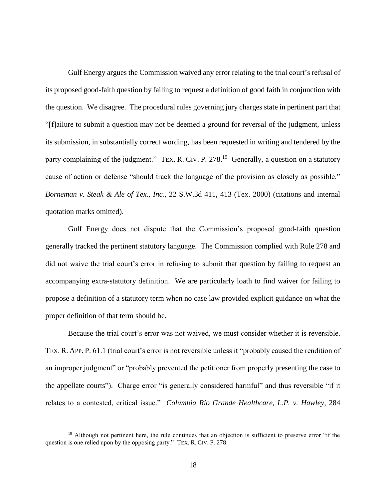Gulf Energy argues the Commission waived any error relating to the trial court's refusal of its proposed good-faith question by failing to request a definition of good faith in conjunction with the question. We disagree. The procedural rules governing jury charges state in pertinent part that "[f]ailure to submit a question may not be deemed a ground for reversal of the judgment, unless its submission, in substantially correct wording, has been requested in writing and tendered by the party complaining of the judgment." TEX. R. CIV. P. 278.<sup>19</sup> Generally, a question on a statutory cause of action or defense "should track the language of the provision as closely as possible." *Borneman v. Steak & Ale of Tex., Inc.*, 22 S.W.3d 411, 413 (Tex. 2000) (citations and internal quotation marks omitted).

Gulf Energy does not dispute that the Commission's proposed good-faith question generally tracked the pertinent statutory language. The Commission complied with Rule 278 and did not waive the trial court's error in refusing to submit that question by failing to request an accompanying extra-statutory definition. We are particularly loath to find waiver for failing to propose a definition of a statutory term when no case law provided explicit guidance on what the proper definition of that term should be.

Because the trial court's error was not waived, we must consider whether it is reversible. TEX. R. APP. P. 61.1 (trial court's error is not reversible unless it "probably caused the rendition of an improper judgment" or "probably prevented the petitioner from properly presenting the case to the appellate courts"). Charge error "is generally considered harmful" and thus reversible "if it relates to a contested, critical issue." *Columbia Rio Grande Healthcare, L.P. v. Hawley*, 284

<sup>&</sup>lt;sup>19</sup> Although not pertinent here, the rule continues that an objection is sufficient to preserve error "if the question is one relied upon by the opposing party." TEX. R. CIV. P. 278.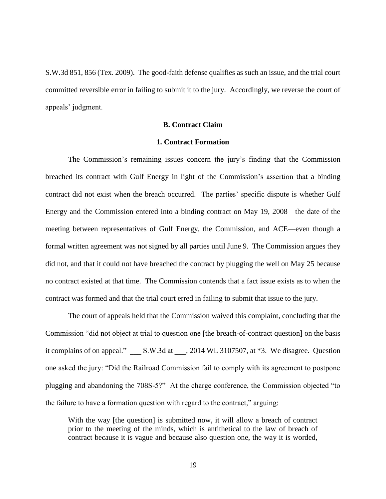S.W.3d 851, 856 (Tex. 2009). The good-faith defense qualifies as such an issue, and the trial court committed reversible error in failing to submit it to the jury. Accordingly, we reverse the court of appeals' judgment.

# **B. Contract Claim**

# **1. Contract Formation**

The Commission's remaining issues concern the jury's finding that the Commission breached its contract with Gulf Energy in light of the Commission's assertion that a binding contract did not exist when the breach occurred. The parties' specific dispute is whether Gulf Energy and the Commission entered into a binding contract on May 19, 2008—the date of the meeting between representatives of Gulf Energy, the Commission, and ACE—even though a formal written agreement was not signed by all parties until June 9. The Commission argues they did not, and that it could not have breached the contract by plugging the well on May 25 because no contract existed at that time. The Commission contends that a fact issue exists as to when the contract was formed and that the trial court erred in failing to submit that issue to the jury.

The court of appeals held that the Commission waived this complaint, concluding that the Commission "did not object at trial to question one [the breach-of-contract question] on the basis it complains of on appeal."  $S.W.3d at$ , 2014 WL 3107507, at  $*3$ . We disagree. Question one asked the jury: "Did the Railroad Commission fail to comply with its agreement to postpone plugging and abandoning the 708S-5?" At the charge conference, the Commission objected "to the failure to have a formation question with regard to the contract," arguing:

With the way [the question] is submitted now, it will allow a breach of contract prior to the meeting of the minds, which is antithetical to the law of breach of contract because it is vague and because also question one, the way it is worded,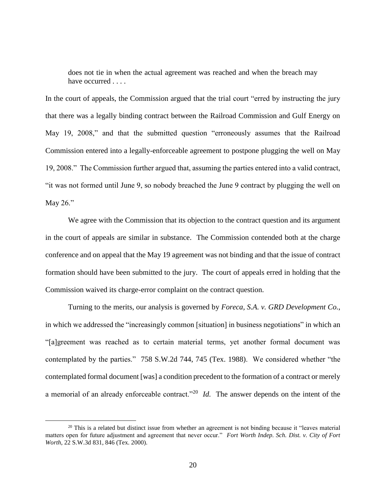does not tie in when the actual agreement was reached and when the breach may have occurred . . . .

In the court of appeals, the Commission argued that the trial court "erred by instructing the jury that there was a legally binding contract between the Railroad Commission and Gulf Energy on May 19, 2008," and that the submitted question "erroneously assumes that the Railroad Commission entered into a legally-enforceable agreement to postpone plugging the well on May 19, 2008." The Commission further argued that, assuming the parties entered into a valid contract, "it was not formed until June 9, so nobody breached the June 9 contract by plugging the well on May 26."

We agree with the Commission that its objection to the contract question and its argument in the court of appeals are similar in substance. The Commission contended both at the charge conference and on appeal that the May 19 agreement was not binding and that the issue of contract formation should have been submitted to the jury. The court of appeals erred in holding that the Commission waived its charge-error complaint on the contract question.

Turning to the merits, our analysis is governed by *Foreca, S.A. v. GRD Development Co.*, in which we addressed the "increasingly common [situation] in business negotiations" in which an "[a]greement was reached as to certain material terms, yet another formal document was contemplated by the parties." 758 S.W.2d 744, 745 (Tex. 1988). We considered whether "the contemplated formal document [was] a condition precedent to the formation of a contract or merely a memorial of an already enforceable contract."<sup>20</sup> *Id*. The answer depends on the intent of the

<sup>&</sup>lt;sup>20</sup> This is a related but distinct issue from whether an agreement is not binding because it "leaves material" matters open for future adjustment and agreement that never occur." *Fort Worth Indep. Sch. Dist. v. City of Fort Worth*, 22 S.W.3d 831, 846 (Tex. 2000).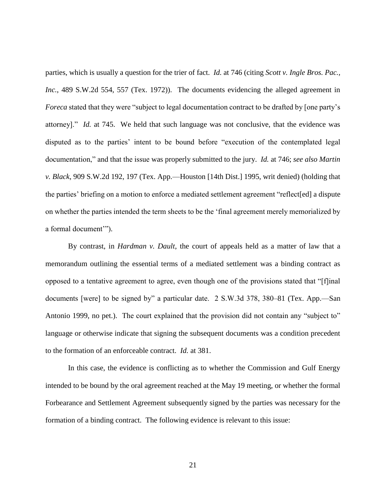parties, which is usually a question for the trier of fact. *Id.* at 746 (citing *Scott v. Ingle Bros. Pac., Inc.*, 489 S.W.2d 554, 557 (Tex. 1972)). The documents evidencing the alleged agreement in *Foreca* stated that they were "subject to legal documentation contract to be drafted by [one party's attorney]." *Id.* at 745. We held that such language was not conclusive, that the evidence was disputed as to the parties' intent to be bound before "execution of the contemplated legal documentation," and that the issue was properly submitted to the jury. *Id.* at 746; *see also Martin v. Black*, 909 S.W.2d 192, 197 (Tex. App.—Houston [14th Dist.] 1995, writ denied) (holding that the parties' briefing on a motion to enforce a mediated settlement agreement "reflect[ed] a dispute on whether the parties intended the term sheets to be the 'final agreement merely memorialized by a formal document'").

By contrast, in *Hardman v. Dault*, the court of appeals held as a matter of law that a memorandum outlining the essential terms of a mediated settlement was a binding contract as opposed to a tentative agreement to agree, even though one of the provisions stated that "[f]inal documents [were] to be signed by" a particular date. 2 S.W.3d 378, 380–81 (Tex. App.—San Antonio 1999, no pet.). The court explained that the provision did not contain any "subject to" language or otherwise indicate that signing the subsequent documents was a condition precedent to the formation of an enforceable contract. *Id.* at 381.

In this case, the evidence is conflicting as to whether the Commission and Gulf Energy intended to be bound by the oral agreement reached at the May 19 meeting, or whether the formal Forbearance and Settlement Agreement subsequently signed by the parties was necessary for the formation of a binding contract. The following evidence is relevant to this issue: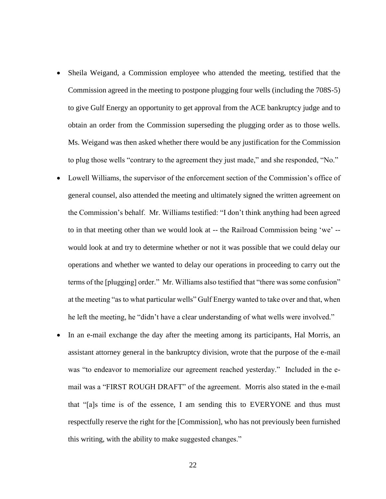- Sheila Weigand, a Commission employee who attended the meeting, testified that the Commission agreed in the meeting to postpone plugging four wells (including the 708S-5) to give Gulf Energy an opportunity to get approval from the ACE bankruptcy judge and to obtain an order from the Commission superseding the plugging order as to those wells. Ms. Weigand was then asked whether there would be any justification for the Commission to plug those wells "contrary to the agreement they just made," and she responded, "No."
- Lowell Williams, the supervisor of the enforcement section of the Commission's office of general counsel, also attended the meeting and ultimately signed the written agreement on the Commission's behalf. Mr. Williams testified: "I don't think anything had been agreed to in that meeting other than we would look at -- the Railroad Commission being 'we' - would look at and try to determine whether or not it was possible that we could delay our operations and whether we wanted to delay our operations in proceeding to carry out the terms of the [plugging] order." Mr. Williams also testified that "there was some confusion" at the meeting "as to what particular wells" Gulf Energy wanted to take over and that, when he left the meeting, he "didn't have a clear understanding of what wells were involved."
- In an e-mail exchange the day after the meeting among its participants, Hal Morris, an assistant attorney general in the bankruptcy division, wrote that the purpose of the e-mail was "to endeavor to memorialize our agreement reached yesterday." Included in the email was a "FIRST ROUGH DRAFT" of the agreement. Morris also stated in the e-mail that "[a]s time is of the essence, I am sending this to EVERYONE and thus must respectfully reserve the right for the [Commission], who has not previously been furnished this writing, with the ability to make suggested changes."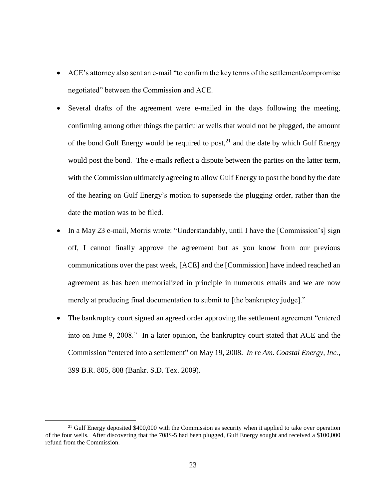- ACE's attorney also sent an e-mail "to confirm the key terms of the settlement/compromise negotiated" between the Commission and ACE.
- Several drafts of the agreement were e-mailed in the days following the meeting, confirming among other things the particular wells that would not be plugged, the amount of the bond Gulf Energy would be required to post,  $2<sup>1</sup>$  and the date by which Gulf Energy would post the bond. The e-mails reflect a dispute between the parties on the latter term, with the Commission ultimately agreeing to allow Gulf Energy to post the bond by the date of the hearing on Gulf Energy's motion to supersede the plugging order, rather than the date the motion was to be filed.
- In a May 23 e-mail, Morris wrote: "Understandably, until I have the [Commission's] sign off, I cannot finally approve the agreement but as you know from our previous communications over the past week, [ACE] and the [Commission] have indeed reached an agreement as has been memorialized in principle in numerous emails and we are now merely at producing final documentation to submit to [the bankruptcy judge]."
- The bankruptcy court signed an agreed order approving the settlement agreement "entered into on June 9, 2008." In a later opinion, the bankruptcy court stated that ACE and the Commission "entered into a settlement" on May 19, 2008. *In re Am. Coastal Energy, Inc.*, 399 B.R. 805, 808 (Bankr. S.D. Tex. 2009).

<sup>&</sup>lt;sup>21</sup> Gulf Energy deposited  $$400,000$  with the Commission as security when it applied to take over operation of the four wells. After discovering that the 708S-5 had been plugged, Gulf Energy sought and received a \$100,000 refund from the Commission.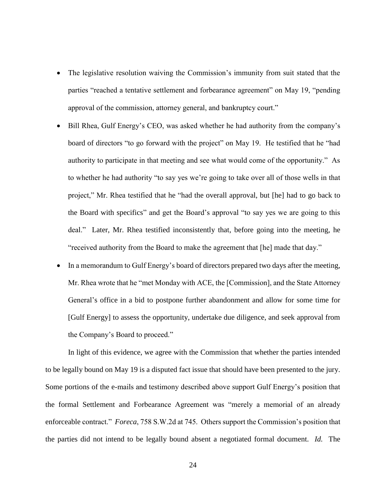- The legislative resolution waiving the Commission's immunity from suit stated that the parties "reached a tentative settlement and forbearance agreement" on May 19, "pending approval of the commission, attorney general, and bankruptcy court."
- Bill Rhea, Gulf Energy's CEO, was asked whether he had authority from the company's board of directors "to go forward with the project" on May 19. He testified that he "had authority to participate in that meeting and see what would come of the opportunity." As to whether he had authority "to say yes we're going to take over all of those wells in that project," Mr. Rhea testified that he "had the overall approval, but [he] had to go back to the Board with specifics" and get the Board's approval "to say yes we are going to this deal." Later, Mr. Rhea testified inconsistently that, before going into the meeting, he "received authority from the Board to make the agreement that [he] made that day."
- In a memorandum to Gulf Energy's board of directors prepared two days after the meeting, Mr. Rhea wrote that he "met Monday with ACE, the [Commission], and the State Attorney General's office in a bid to postpone further abandonment and allow for some time for [Gulf Energy] to assess the opportunity, undertake due diligence, and seek approval from the Company's Board to proceed."

In light of this evidence, we agree with the Commission that whether the parties intended to be legally bound on May 19 is a disputed fact issue that should have been presented to the jury. Some portions of the e-mails and testimony described above support Gulf Energy's position that the formal Settlement and Forbearance Agreement was "merely a memorial of an already enforceable contract." *Foreca*, 758 S.W.2d at 745. Others support the Commission's position that the parties did not intend to be legally bound absent a negotiated formal document. *Id.* The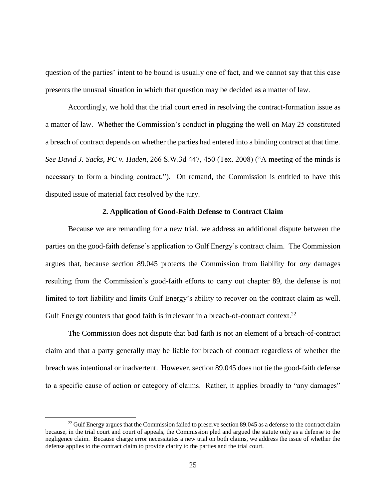question of the parties' intent to be bound is usually one of fact, and we cannot say that this case presents the unusual situation in which that question may be decided as a matter of law.

Accordingly, we hold that the trial court erred in resolving the contract-formation issue as a matter of law. Whether the Commission's conduct in plugging the well on May 25 constituted a breach of contract depends on whether the parties had entered into a binding contract at that time. *See David J. Sacks, PC v. Haden*, 266 S.W.3d 447, 450 (Tex. 2008) ("A meeting of the minds is necessary to form a binding contract."). On remand, the Commission is entitled to have this disputed issue of material fact resolved by the jury.

#### **2. Application of Good-Faith Defense to Contract Claim**

Because we are remanding for a new trial, we address an additional dispute between the parties on the good-faith defense's application to Gulf Energy's contract claim. The Commission argues that, because section 89.045 protects the Commission from liability for *any* damages resulting from the Commission's good-faith efforts to carry out chapter 89, the defense is not limited to tort liability and limits Gulf Energy's ability to recover on the contract claim as well. Gulf Energy counters that good faith is irrelevant in a breach-of-contract context.<sup>22</sup>

The Commission does not dispute that bad faith is not an element of a breach-of-contract claim and that a party generally may be liable for breach of contract regardless of whether the breach was intentional or inadvertent. However, section 89.045 does not tie the good-faith defense to a specific cause of action or category of claims. Rather, it applies broadly to "any damages"

 $^{22}$  Gulf Energy argues that the Commission failed to preserve section 89.045 as a defense to the contract claim because, in the trial court and court of appeals, the Commission pled and argued the statute only as a defense to the negligence claim. Because charge error necessitates a new trial on both claims, we address the issue of whether the defense applies to the contract claim to provide clarity to the parties and the trial court.